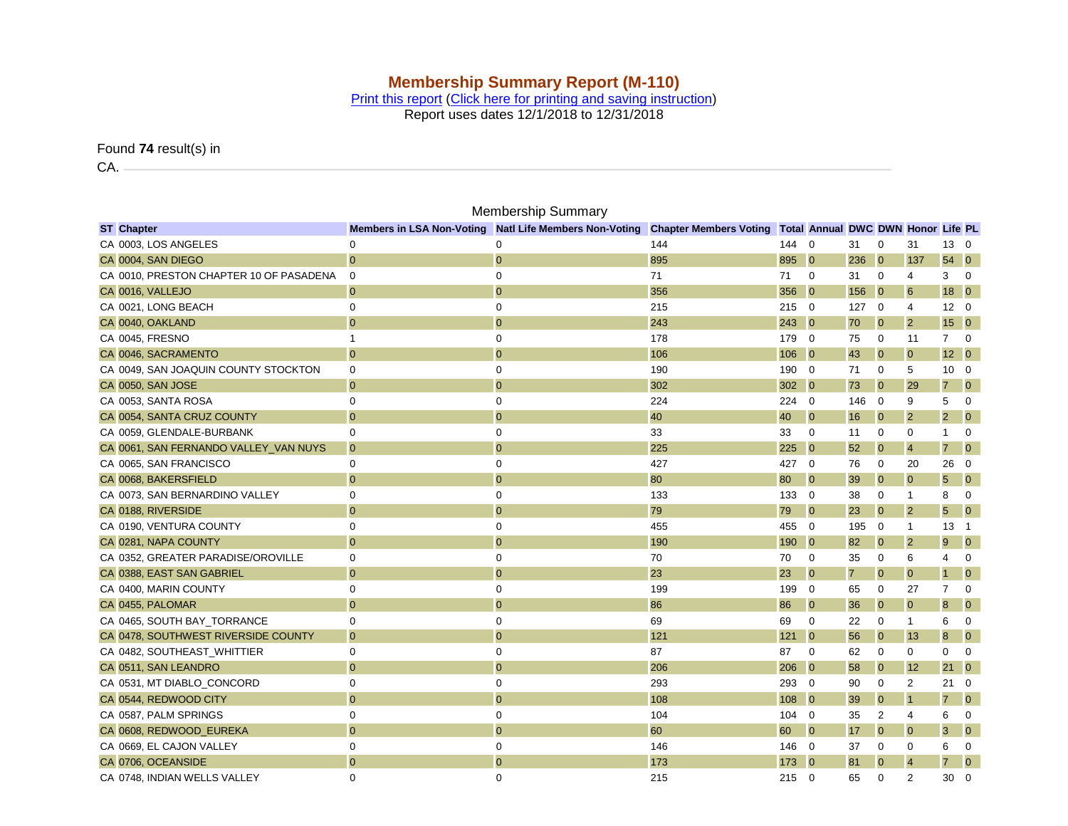## **Membership Summary Report (M-110)**

[Print this report](javascript:window.print();) [\(Click here for printing and saving instruction\)](https://www.narfe.org/orm/PrintIntro.cfm)

Report uses dates 12/1/2018 to 12/31/2018

Found **74** result(s) in

CA. 2004

| <b>ST</b> Chapter                       |                | <b>Membership Summary</b><br>Members in LSA Non-Voting Natl Life Members Non-Voting | <b>Chapter Members Voting</b> |       | Total Annual DWC DWN Honor Life PL |                |                |                |                 |                          |
|-----------------------------------------|----------------|-------------------------------------------------------------------------------------|-------------------------------|-------|------------------------------------|----------------|----------------|----------------|-----------------|--------------------------|
| CA 0003, LOS ANGELES                    | 0              | 0                                                                                   | 144                           | 144 0 |                                    | 31             | $\mathbf 0$    | 31             | 13 0            |                          |
| CA 0004, SAN DIEGO                      | $\overline{0}$ | $\mathbf{0}$                                                                        | 895                           | 895   | $\overline{0}$                     | 236            | $\overline{0}$ | 137            | 54 0            |                          |
| CA 0010, PRESTON CHAPTER 10 OF PASADENA | 0              | 0                                                                                   | 71                            | 71    | $\mathbf 0$                        | 31             | 0              | $\overline{4}$ | 3               | $\mathbf 0$              |
| CA 0016, VALLEJO                        | $\mathbf{0}$   | $\pmb{0}$                                                                           | 356                           | 356   | $\overline{0}$                     | 156            | $\overline{0}$ | 6              | 18 <sup>0</sup> |                          |
| CA 0021, LONG BEACH                     | 0              | 0                                                                                   | 215                           | 215   | $\overline{0}$                     | 127            | 0              | 4              | $12 \quad 0$    |                          |
| CA 0040, OAKLAND                        | $\mathbf{0}$   | $\mathbf{0}$                                                                        | 243                           | 243   | $\overline{0}$                     | 70             | $\overline{0}$ | $\overline{2}$ | $15\quad0$      |                          |
| CA 0045, FRESNO                         | $\overline{1}$ | 0                                                                                   | 178                           | 179   | - 0                                | 75             | 0              | 11             | $\overline{7}$  | $\overline{0}$           |
| CA 0046, SACRAMENTO                     | $\overline{0}$ | $\mathbf{0}$                                                                        | 106                           | 106   | $\overline{0}$                     | 43             | $\overline{0}$ | $\overline{0}$ | 12 <sup>0</sup> |                          |
| CA 0049, SAN JOAQUIN COUNTY STOCKTON    | 0              | 0                                                                                   | 190                           | 190   | $\overline{0}$                     | 71             | 0              | 5              | 10              | $\overline{\phantom{0}}$ |
| CA 0050, SAN JOSE                       | $\overline{0}$ | $\mathbf{0}$                                                                        | 302                           | 302   | $\overline{0}$                     | 73             | $\overline{0}$ | 29             | 7               | $\overline{0}$           |
| CA 0053, SANTA ROSA                     | 0              | 0                                                                                   | 224                           | 224   | 0                                  | 146            | 0              | 9              | 5               | 0                        |
| CA 0054, SANTA CRUZ COUNTY              | $\mathbf{0}$   | $\mathbf{0}$                                                                        | 40                            | 40    | $\mathbf{0}$                       | 16             | $\overline{0}$ | $\overline{2}$ | $\overline{2}$  | $\overline{0}$           |
| CA 0059, GLENDALE-BURBANK               | 0              | 0                                                                                   | 33                            | 33    | 0                                  | 11             | $\mathbf 0$    | 0              | 1               | $\Omega$                 |
| CA 0061, SAN FERNANDO VALLEY_VAN NUYS   | $\mathbf{0}$   | $\mathbf{0}$                                                                        | 225                           | 225   | $\overline{0}$                     | 52             | $\mathbf{0}$   | $\overline{4}$ | $\overline{7}$  | $\overline{0}$           |
| CA 0065, SAN FRANCISCO                  | $\mathbf 0$    | $\mathbf 0$                                                                         | 427                           | 427   | - 0                                | 76             | $\mathbf 0$    | 20             | 26              | $\Omega$                 |
| CA 0068, BAKERSFIELD                    | $\overline{0}$ | $\mathbf{0}$                                                                        | 80                            | 80    | $\overline{0}$                     | 39             | $\mathbf{0}$   | $\overline{0}$ | 5               | $\overline{0}$           |
| CA 0073, SAN BERNARDINO VALLEY          | 0              | 0                                                                                   | 133                           | 133   | $\mathbf 0$                        | 38             | 0              | 1              | 8               | $\mathbf 0$              |
| CA 0188, RIVERSIDE                      | $\overline{0}$ | $\overline{0}$                                                                      | 79                            | 79    | $\overline{0}$                     | 23             | $\overline{0}$ | $\overline{2}$ | 5               | $\overline{0}$           |
| CA 0190, VENTURA COUNTY                 | 0              | 0                                                                                   | 455                           | 455   | 0                                  | 195            | 0              | $\mathbf{1}$   | 13              | $\overline{1}$           |
| CA 0281, NAPA COUNTY                    | $\overline{0}$ | $\overline{0}$                                                                      | 190                           | 190   | $\overline{0}$                     | 82             | $\overline{0}$ | $\overline{2}$ | 9               | $\overline{\mathbf{0}}$  |
| CA 0352, GREATER PARADISE/OROVILLE      | 0              | 0                                                                                   | 70                            | 70    | 0                                  | 35             | 0              | 6              | $\overline{4}$  | 0                        |
| CA 0388, EAST SAN GABRIEL               | $\overline{0}$ | $\mathbf 0$                                                                         | 23                            | 23    | $\mathbf{O}$                       | $\overline{7}$ | $\overline{0}$ | $\overline{0}$ | $\mathbf{1}$    | $\overline{0}$           |
| CA 0400, MARIN COUNTY                   | $\mathbf 0$    | $\mathbf 0$                                                                         | 199                           | 199   | $\mathbf 0$                        | 65             | $\mathbf 0$    | 27             | $\overline{7}$  | $\mathbf 0$              |
| CA 0455, PALOMAR                        | $\overline{0}$ | $\mathbf 0$                                                                         | 86                            | 86    | $\mathbf{0}$                       | 36             | $\overline{0}$ | $\overline{0}$ | 8               | $\overline{\mathbf{0}}$  |
| CA 0465, SOUTH BAY_TORRANCE             | 0              | 0                                                                                   | 69                            | 69    | 0                                  | 22             | $\mathbf 0$    | $\mathbf{1}$   | 6               | 0                        |
| CA 0478, SOUTHWEST RIVERSIDE COUNTY     | $\overline{0}$ | $\mathbf{0}$                                                                        | 121                           | 121   | $\overline{0}$                     | 56             | $\overline{0}$ | 13             | 8               | $\overline{0}$           |
| CA 0482, SOUTHEAST_WHITTIER             | 0              | 0                                                                                   | 87                            | 87    | 0                                  | 62             | 0              | 0              | $\mathbf 0$     | 0                        |
| CA 0511, SAN LEANDRO                    | $\overline{0}$ | $\mathbf{0}$                                                                        | 206                           | 206   | $\overline{0}$                     | 58             | $\overline{0}$ | 12             | 21              | $\overline{\mathbf{0}}$  |
| CA 0531, MT DIABLO_CONCORD              | 0              | 0                                                                                   | 293                           | 293   | 0                                  | 90             | $\mathbf 0$    | $\overline{2}$ | 21              | $\overline{0}$           |
| CA 0544, REDWOOD CITY                   | $\overline{0}$ | $\mathbf{0}$                                                                        | 108                           | 108   | $\overline{0}$                     | 39             | $\overline{0}$ | $\mathbf{1}$   | $\overline{7}$  | $\overline{0}$           |
| CA 0587, PALM SPRINGS                   | 0              | $\mathbf 0$                                                                         | 104                           | 104   | $\mathbf 0$                        | 35             | 2              | 4              | 6               | $\mathbf 0$              |
| CA 0608, REDWOOD_EUREKA                 | $\mathbf{0}$   | $\mathbf 0$                                                                         | 60                            | 60    | $\mathbf{0}$                       | 17             | $\overline{0}$ | $\mathbf{0}$   | 3               | $\mathbf{0}$             |
| CA 0669, EL CAJON VALLEY                | 0              | 0                                                                                   | 146                           | 146   | $\overline{0}$                     | 37             | 0              | 0              | 6               | 0                        |
| CA 0706, OCEANSIDE                      | $\overline{0}$ | $\mathbf 0$                                                                         | 173                           | 173   | $\overline{0}$                     | 81             | $\mathbf 0$    | $\overline{4}$ | 7               | $\mathbf{0}$             |
| CA 0748, INDIAN WELLS VALLEY            | $\Omega$       | $\Omega$                                                                            | 215                           | 215   | $\overline{0}$                     | 65             | 0              | $\overline{2}$ | 30              | $\Omega$                 |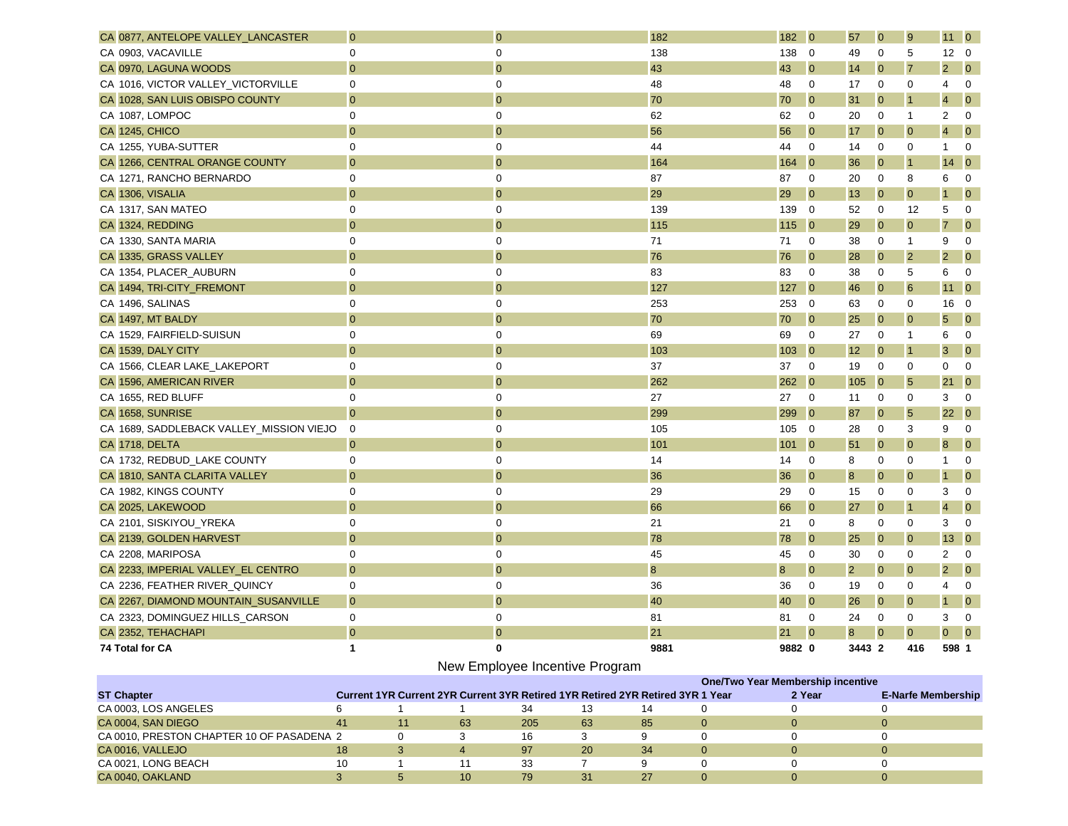| CA 0877, ANTELOPE VALLEY_LANCASTER       | $\mathbf 0$      | $\overline{0}$ | 182      | 182    | $\overline{\mathbf{0}}$ | 57             | $\overline{0}$ | 9              | 110             |                            |
|------------------------------------------|------------------|----------------|----------|--------|-------------------------|----------------|----------------|----------------|-----------------|----------------------------|
| CA 0903, VACAVILLE                       | 0                | 0              | 138      | 138    | $\overline{0}$          | 49             | 0              | 5              | $12 \quad 0$    |                            |
| CA 0970, LAGUNA WOODS                    | $\overline{0}$   | $\overline{0}$ | 43       | 43     | $\overline{0}$          | 14             | $\mathbf{0}$   | $\overline{7}$ | $\overline{2}$  | $\overline{\phantom{0}}$ 0 |
| CA 1016, VICTOR VALLEY_VICTORVILLE       | $\mathbf 0$      | 0              | 48       | 48     | 0                       | 17             | 0              | 0              | 4               | 0                          |
| CA 1028, SAN LUIS OBISPO COUNTY          | $\overline{0}$   | $\overline{0}$ | 70       | 70     | $\overline{0}$          | 31             | $\mathbf{0}$   | $\overline{1}$ | $\overline{4}$  | $\overline{0}$             |
| CA 1087, LOMPOC                          | 0                | 0              | 62       | 62     | 0                       | 20             | $\mathbf 0$    | $\mathbf{1}$   | $\overline{2}$  | $\overline{0}$             |
| <b>CA 1245, CHICO</b>                    | $\overline{0}$   | $\overline{0}$ | 56       | 56     | $\overline{0}$          | 17             | $\overline{0}$ | $\mathbf{0}$   | $\overline{4}$  | $\overline{0}$             |
| CA 1255, YUBA-SUTTER                     | $\mathbf 0$      | 0              | 44       | 44     | 0                       | 14             | 0              | $\mathbf 0$    | $\mathbf{1}$    | $\overline{0}$             |
| CA 1266, CENTRAL ORANGE COUNTY           | $\overline{0}$   | $\overline{0}$ | 164      | 164    | $\overline{0}$          | 36             | $\overline{0}$ | $\mathbf{1}$   | 14 <sup>0</sup> |                            |
| CA 1271, RANCHO BERNARDO                 | $\pmb{0}$        | 0              | 87       | 87     | 0                       | 20             | 0              | 8              | 6               | $\mathbf 0$                |
| CA 1306, VISALIA                         | $\overline{0}$   | $\overline{0}$ | 29       | 29     | $\overline{0}$          | 13             | $\mathbf{0}$   | $\overline{0}$ | $\mathbf{1}$    | $\overline{0}$             |
| CA 1317, SAN MATEO                       | $\mathbf 0$      | 0              | 139      | 139    | 0                       | 52             | 0              | 12             | 5               | $\mathbf 0$                |
| CA 1324, REDDING                         | $\mathbf 0$      | 0              | 115      | 115    | $\overline{0}$          | 29             | $\mathbf{0}$   | $\overline{0}$ | $\overline{7}$  | $\overline{0}$             |
| CA 1330, SANTA MARIA                     | $\pmb{0}$        | 0              | 71       | 71     | $\mathbf 0$             | 38             | 0              | $\mathbf{1}$   | 9               | $\Omega$                   |
| CA 1335, GRASS VALLEY                    | $\overline{0}$   | $\overline{0}$ | 76       | 76     | $\overline{0}$          | 28             | $\overline{0}$ | $\overline{2}$ | $\overline{2}$  | $\overline{0}$             |
| CA 1354, PLACER_AUBURN                   | $\mathbf 0$      | 0              | 83       | 83     | $\mathbf 0$             | 38             | 0              | 5              | 6               | $\overline{0}$             |
| CA 1494, TRI-CITY_FREMONT                | $\mathbf{0}$     | $\overline{0}$ | 127      | 127    | $\overline{0}$          | 46             | $\mathbf{0}$   | 6              | $11 \quad 0$    |                            |
| CA 1496, SALINAS                         | $\mathbf 0$      | 0              | 253      | 253    | $\overline{0}$          | 63             | 0              | 0              | 16              | $\overline{0}$             |
| CA 1497, MT BALDY                        | $\overline{0}$   | $\overline{0}$ | 70       | 70     | $\overline{0}$          | 25             | $\overline{0}$ | $\mathbf{0}$   | 5 <sup>5</sup>  | $\overline{0}$             |
| CA 1529, FAIRFIELD-SUISUN                | $\mathbf 0$      | 0              | 69       | 69     | 0                       | 27             | $\mathbf 0$    | $\mathbf{1}$   | 6               | $\Omega$                   |
| CA 1539, DALY CITY                       | $\overline{0}$   | $\mathbf{0}$   | 103      | 103    | $\overline{0}$          | 12             | $\overline{0}$ | $\overline{1}$ | 3               | $\overline{0}$             |
| CA 1566, CLEAR LAKE_LAKEPORT             | $\mathbf 0$      | 0              | 37       | 37     | $\mathbf 0$             | 19             | 0              | 0              | $\mathbf 0$     | $\mathbf 0$                |
| CA 1596, AMERICAN RIVER                  | $\overline{0}$   | $\mathbf{0}$   | 262      | 262    | $\overline{0}$          | 105            | $\mathbf{0}$   | 5              | 21              | $\overline{0}$             |
| CA 1655, RED BLUFF                       | $\mathbf 0$      | 0              | 27       | 27     | 0                       | 11             | 0              | 0              | 3               | - 0                        |
| CA 1658, SUNRISE                         | $\overline{0}$   | $\overline{0}$ | 299      | 299    | $\overline{0}$          | 87             | $\mathbf{0}$   | 5              | 22              | $\overline{0}$             |
| CA 1689, SADDLEBACK VALLEY_MISSION VIEJO | $\mathbf 0$      | 0              | 105      | 105    | $\mathbf 0$             | 28             | 0              | 3              | 9               | $\overline{0}$             |
| <b>CA 1718, DELTA</b>                    | $\overline{0}$   | $\overline{0}$ | 101      | 101    | $\overline{0}$          | 51             | $\overline{0}$ | $\mathbf{0}$   | 8               | $\overline{0}$             |
| CA 1732, REDBUD_LAKE COUNTY              | $\mathbf 0$      | 0              | 14       | 14     | 0                       | 8              | 0              | 0              | $\mathbf{1}$    | $\mathbf 0$                |
| CA 1810, SANTA CLARITA VALLEY            | $\overline{0}$   | $\overline{0}$ | 36       | 36     | $\overline{0}$          | 8              | $\overline{0}$ | $\mathbf{0}$   | $\mathbf{1}$    | $\overline{0}$             |
| CA 1982, KINGS COUNTY                    | $\boldsymbol{0}$ | 0              | 29       | 29     | $\mathbf 0$             | 15             | 0              | 0              | 3               | $\mathbf 0$                |
| CA 2025, LAKEWOOD                        | $\mathbf 0$      | $\overline{0}$ | 66       | 66     | $\mathbf{O}$            | 27             | $\overline{0}$ | $\overline{1}$ | $\overline{4}$  | $\overline{0}$             |
| CA 2101, SISKIYOU_YREKA                  | $\mathbf 0$      | 0              | 21       | 21     | 0                       | 8              | 0              | $\mathbf 0$    | 3               | $\overline{0}$             |
| CA 2139, GOLDEN HARVEST                  | $\overline{0}$   | $\overline{0}$ | 78       | 78     | $\overline{0}$          | 25             | $\overline{0}$ | $\mathbf{0}$   | 13              | $\overline{0}$             |
| CA 2208, MARIPOSA                        | $\mathbf 0$      | 0              | 45       | 45     | $\mathbf 0$             | 30             | 0              | 0              | $\overline{2}$  | $\mathbf 0$                |
| CA 2233, IMPERIAL VALLEY_EL CENTRO       | $\overline{0}$   | $\overline{0}$ | $\bf{8}$ | 8      | $\overline{0}$          | $\overline{2}$ | $\overline{0}$ | $\overline{0}$ | $\overline{2}$  | $\overline{0}$             |
| CA 2236, FEATHER RIVER QUINCY            | $\mathbf 0$      | 0              | 36       | 36     | 0                       | 19             | $\mathbf 0$    | 0              | $\overline{4}$  | $\mathbf 0$                |
| CA 2267, DIAMOND MOUNTAIN_SUSANVILLE     | $\overline{0}$   | $\overline{0}$ | 40       | 40     | $\overline{0}$          | 26             | $\overline{0}$ | $\overline{0}$ | $\overline{1}$  | $\overline{0}$             |
| CA 2323, DOMINGUEZ HILLS_CARSON          | 0                | 0              | 81       | 81     | 0                       | 24             | 0              | 0              | 3               | $\overline{0}$             |
| CA 2352, TEHACHAPI                       | $\overline{0}$   | $\overline{0}$ | 21       | 21     | $\overline{0}$          | 8              | $\overline{0}$ | $\Omega$       | $\overline{0}$  | $\overline{0}$             |
| 74 Total for CA                          | $\mathbf{1}$     | 0              | 9881     | 9882 0 |                         | 3443 2         |                | 416            | 598 1           |                            |

## New Employee Incentive Program

|                                           |    |                                                                                |                 |     |           |    | One/Two Year Membership incentive |        |                           |  |  |
|-------------------------------------------|----|--------------------------------------------------------------------------------|-----------------|-----|-----------|----|-----------------------------------|--------|---------------------------|--|--|
| <b>ST Chapter</b>                         |    | Current 1YR Current 2YR Current 3YR Retired 1YR Retired 2YR Retired 3YR 1 Year |                 |     |           |    |                                   | 2 Year | <b>E-Narfe Membership</b> |  |  |
| CA 0003, LOS ANGELES                      |    |                                                                                |                 | 34  | 13        |    |                                   |        |                           |  |  |
| CA 0004, SAN DIEGO                        | 41 |                                                                                | 63              | 205 | 63        | 85 |                                   |        |                           |  |  |
| CA 0010, PRESTON CHAPTER 10 OF PASADENA 2 |    |                                                                                |                 | 16  |           | 9  |                                   |        |                           |  |  |
| CA 0016, VALLEJO                          | 18 |                                                                                |                 | 97  | <b>20</b> | 34 |                                   |        |                           |  |  |
| CA 0021. LONG BEACH                       | 10 |                                                                                |                 | 33  |           | 9  |                                   |        |                           |  |  |
| CA 0040, OAKLAND                          |    |                                                                                | 10 <sup>°</sup> | 79  | 31        | 27 |                                   |        |                           |  |  |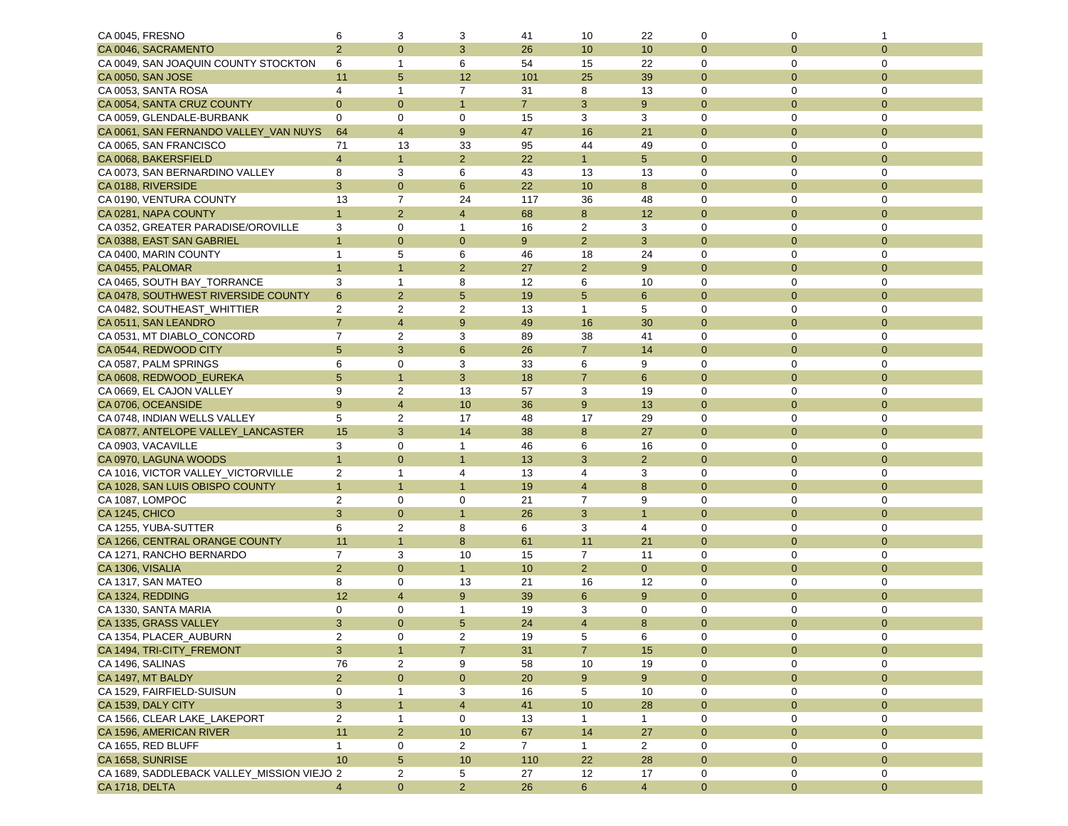| CA 0045, FRESNO                            | 6               | 3              | 3              | 41             | 10             | 22             | 0              | $\mathbf 0$    | 1              |  |
|--------------------------------------------|-----------------|----------------|----------------|----------------|----------------|----------------|----------------|----------------|----------------|--|
| CA 0046, SACRAMENTO                        | 2               | $\mathbf{0}$   | 3              | 26             | 10             | 10             | $\mathbf{0}$   | $\overline{0}$ | $\mathbf{0}$   |  |
| CA 0049, SAN JOAQUIN COUNTY STOCKTON       | 6               | $\mathbf{1}$   | 6              | 54             | 15             | 22             | $\mathbf 0$    | $\mathbf 0$    | 0              |  |
| <b>CA 0050, SAN JOSE</b>                   | 11              | 5              | 12             | 101            | 25             | 39             | $\mathbf{0}$   | $\mathbf{0}$   | $\mathbf{0}$   |  |
| CA 0053, SANTA ROSA                        | $\overline{4}$  | $\mathbf{1}$   | $\overline{7}$ | 31             | 8              | 13             | $\mathbf 0$    | $\mathbf 0$    | 0              |  |
| CA 0054, SANTA CRUZ COUNTY                 | $\overline{0}$  | $\mathbf{0}$   | $\mathbf{1}$   | 7 <sup>1</sup> | 3              | 9              | $\mathbf{0}$   | $\mathbf{0}$   | $\mathbf{0}$   |  |
| CA 0059, GLENDALE-BURBANK                  | $\mathbf 0$     | 0              | 0              | 15             | 3              | 3              | 0              | $\mathbf 0$    | 0              |  |
| CA 0061, SAN FERNANDO VALLEY_VAN NUYS      | 64              | $\overline{4}$ | 9              | 47             | 16             | 21             | $\mathbf{0}$   | $\overline{0}$ | $\mathbf{0}$   |  |
| CA 0065, SAN FRANCISCO                     | 71              | 13             | 33             | 95             | 44             | 49             | $\mathbf 0$    | $\mathbf 0$    | 0              |  |
| CA 0068, BAKERSFIELD                       | $\overline{4}$  | $\mathbf{1}$   | $\overline{2}$ | 22             | $\mathbf{1}$   | 5              | $\mathbf{0}$   | $\mathbf{0}$   | $\mathbf 0$    |  |
| CA 0073, SAN BERNARDINO VALLEY             | 8               | 3              | 6              | 43             | 13             | 13             | $\mathbf 0$    | $\mathbf 0$    | 0              |  |
| CA 0188, RIVERSIDE                         | 3               | $\overline{0}$ | 6              | 22             | 10             | 8              | $\mathbf{0}$   | $\mathbf{0}$   | $\mathbf{0}$   |  |
| CA 0190, VENTURA COUNTY                    | 13              | $\overline{7}$ | 24             | 117            | 36             | 48             | $\mathbf 0$    | $\mathbf 0$    | 0              |  |
| CA 0281, NAPA COUNTY                       | $\mathbf{1}$    | $\overline{2}$ | $\overline{4}$ | 68             | 8              | 12             | $\mathbf{0}$   | $\mathbf{0}$   | $\mathbf{0}$   |  |
| CA 0352, GREATER PARADISE/OROVILLE         | 3               | $\mathbf 0$    | $\mathbf{1}$   | 16             | 2              | 3              | $\mathbf 0$    | 0              | 0              |  |
| CA 0388, EAST SAN GABRIEL                  | $\mathbf{1}$    | $\Omega$       | $\mathbf{0}$   | 9              | $\overline{2}$ | 3              | $\Omega$       | $\overline{0}$ | $\mathbf{0}$   |  |
| CA 0400, MARIN COUNTY                      | $\mathbf{1}$    | 5              | 6              | 46             | 18             | 24             | $\mathbf 0$    | 0              | 0              |  |
| CA 0455, PALOMAR                           | $\mathbf{1}$    | $\mathbf{1}$   | $\overline{2}$ | 27             | $\overline{2}$ | 9              | $\mathbf{0}$   | $\mathbf{0}$   | $\mathbf{0}$   |  |
| CA 0465, SOUTH BAY_TORRANCE                | 3               | $\mathbf{1}$   | 8              | 12             | 6              | 10             | $\mathbf 0$    | $\mathbf 0$    | 0              |  |
| CA 0478, SOUTHWEST RIVERSIDE COUNTY        | 6               | $\overline{2}$ | 5              | 19             | 5              | 6              | $\mathbf{0}$   | $\mathbf{0}$   | $\mathbf{0}$   |  |
| CA 0482, SOUTHEAST_WHITTIER                | $\overline{c}$  | $\overline{2}$ | $\overline{2}$ | 13             | $\mathbf{1}$   | 5              | $\mathbf 0$    | $\mathbf 0$    | 0              |  |
| CA 0511, SAN LEANDRO                       | $\overline{7}$  | $\overline{4}$ | 9              | 49             | 16             | 30             | $\mathbf{0}$   | $\mathbf{0}$   | $\mathbf{0}$   |  |
| CA 0531, MT DIABLO_CONCORD                 | $\overline{7}$  | $\overline{2}$ | 3              | 89             | 38             | 41             | 0              | $\mathbf 0$    | 0              |  |
| CA 0544. REDWOOD CITY                      | 5               | 3              | 6              | 26             | $\overline{7}$ | 14             | $\mathbf{0}$   | $\mathbf{0}$   | $\mathbf{0}$   |  |
| CA 0587, PALM SPRINGS                      | 6               | $\mathbf 0$    | 3              | 33             | 6              | 9              | $\mathbf 0$    | $\mathbf 0$    | 0              |  |
| CA 0608, REDWOOD_EUREKA                    | $5\overline{)}$ | $\mathbf{1}$   | 3              | 18             | $\overline{7}$ | 6              | $\mathbf{0}$   | $\mathbf{0}$   | $\mathbf{0}$   |  |
| CA 0669, EL CAJON VALLEY                   | 9               | $\overline{2}$ | 13             | 57             | 3              | 19             | $\mathbf 0$    | $\mathbf 0$    | 0              |  |
| CA 0706, OCEANSIDE                         | 9               | $\overline{4}$ | 10             | 36             | 9              | 13             | $\mathbf{0}$   | $\mathbf{0}$   | $\mathbf{0}$   |  |
| CA 0748, INDIAN WELLS VALLEY               | 5               | 2              | 17             | 48             | 17             | 29             | $\mathbf 0$    | $\mathbf 0$    | 0              |  |
| CA 0877, ANTELOPE VALLEY_LANCASTER         | 15              | 3              | 14             | 38             | 8              | 27             | $\mathbf{0}$   | $\mathbf{0}$   | $\mathbf{0}$   |  |
| CA 0903, VACAVILLE                         | 3               | $\mathbf 0$    | $\mathbf{1}$   | 46             | 6              | 16             | $\mathbf 0$    | $\mathbf 0$    | 0              |  |
| CA 0970, LAGUNA WOODS                      | $\overline{1}$  | $\Omega$       | $\mathbf{1}$   | 13             | 3              | $\overline{2}$ | $\mathbf{0}$   | $\mathbf{0}$   | $\mathbf{0}$   |  |
| CA 1016, VICTOR VALLEY_VICTORVILLE         | 2               | 1              | 4              | 13             | $\overline{4}$ | 3              | $\mathbf 0$    | 0              | 0              |  |
| CA 1028, SAN LUIS OBISPO COUNTY            | $\mathbf{1}$    | $\mathbf{1}$   | $\mathbf{1}$   | 19             | $\overline{4}$ | 8              | $\mathbf{0}$   | $\mathbf{0}$   | $\mathbf{0}$   |  |
| CA 1087, LOMPOC                            | $\overline{2}$  | $\mathbf 0$    | $\mathbf 0$    | 21             | $\overline{7}$ | 9              | $\mathbf 0$    | $\mathbf 0$    | 0              |  |
| <b>CA 1245, CHICO</b>                      | 3               | $\overline{0}$ | $\mathbf{1}$   | 26             | 3              | $\mathbf{1}$   | $\mathbf{0}$   | $\mathbf{0}$   | $\mathbf{0}$   |  |
| CA 1255, YUBA-SUTTER                       | 6               | 2              | 8              | 6              | 3              | 4              | $\mathbf 0$    | $\mathbf 0$    | 0              |  |
| CA 1266, CENTRAL ORANGE COUNTY             | 11              | $\mathbf{1}$   | 8              | 61             | 11             | 21             | $\mathbf{0}$   | $\mathbf{0}$   | $\mathbf{0}$   |  |
| CA 1271. RANCHO BERNARDO                   | $\overline{7}$  | 3              | 10             | 15             | $\overline{7}$ | 11             | $\mathbf 0$    | $\mathbf 0$    | 0              |  |
| CA 1306, VISALIA                           | $\overline{2}$  | $\overline{0}$ | $\mathbf{1}$   | 10             | $\overline{2}$ | $\overline{0}$ | $\mathbf{0}$   | $\overline{0}$ | $\mathbf{0}$   |  |
| CA 1317, SAN MATEO                         | 8               | $\mathbf 0$    | 13             | 21             | 16             | 12             | $\mathbf 0$    | $\mathbf 0$    | 0              |  |
| CA 1324, REDDING                           | 12              | $\overline{4}$ | 9              | 39             | 6              | 9              | $\mathbf{0}$   | $\overline{0}$ | $\mathbf{0}$   |  |
| CA 1330, SANTA MARIA                       | 0               | 0              | $\mathbf{1}$   | 19             | 3              | 0              | $\mathbf 0$    | $\mathbf 0$    | 0              |  |
| CA 1335, GRASS VALLEY                      | 3               | $\overline{0}$ | 5              | 24             | $\overline{4}$ | 8              | $\mathbf{0}$   | $\overline{0}$ | $\overline{0}$ |  |
| CA 1354, PLACER_AUBURN                     | $\overline{2}$  | $\mathbf 0$    | $\overline{2}$ | 19             | 5              | 6              | $\mathbf 0$    | $\mathbf 0$    | 0              |  |
| CA 1494, TRI-CITY_FREMONT                  | $\overline{3}$  | $\mathbf{1}$   | $\overline{7}$ | 31             | $\overline{7}$ | 15             | $\overline{0}$ | $\mathbf{0}$   | $\overline{0}$ |  |
| CA 1496, SALINAS                           | 76              | $\overline{2}$ | 9              | 58             | 10             | 19             | 0              | $\mathbf 0$    | 0              |  |
| CA 1497, MT BALDY                          | 2 <sup>2</sup>  | $\overline{0}$ | $\overline{0}$ | 20             | 9 <sup>°</sup> | 9 <sup>°</sup> | $\overline{0}$ | $\mathbf{0}$   | $\overline{0}$ |  |
| CA 1529, FAIRFIELD-SUISUN                  | $\mathsf 0$     | $\mathbf{1}$   | 3              | 16             | 5              | 10             | 0              | $\mathbf 0$    | 0              |  |
| CA 1539, DALY CITY                         | 3               | $\mathbf{1}$   | $\overline{4}$ | 41             | 10             | 28             | $\overline{0}$ | $\mathbf{0}$   | $\overline{0}$ |  |
| CA 1566, CLEAR LAKE LAKEPORT               | $\overline{2}$  | $\mathbf{1}$   | 0              | 13             | $\mathbf{1}$   | $\mathbf{1}$   | 0              | $\mathbf 0$    | 0              |  |
| CA 1596, AMERICAN RIVER                    | 11              | $\overline{2}$ | 10             | 67             | 14             | 27             | $\mathbf{0}$   | $\mathbf{0}$   | $\overline{0}$ |  |
| CA 1655, RED BLUFF                         | $\mathbf{1}$    | $\mathbf 0$    | $\overline{2}$ | $\overline{7}$ | $\mathbf{1}$   | $\overline{2}$ | $\mathbf 0$    | $\mathbf 0$    | 0              |  |
| CA 1658, SUNRISE                           | 10 <sup>°</sup> | 5 <sup>5</sup> | 10             | 110            | 22             | 28             | $\overline{0}$ | $\mathbf{0}$   | $\overline{0}$ |  |
| CA 1689, SADDLEBACK VALLEY_MISSION VIEJO 2 |                 | $\overline{2}$ | 5              | 27             | 12             | 17             | 0              | $\mathbf 0$    | 0              |  |
| CA 1718, DELTA                             | $\overline{4}$  | $\overline{0}$ | 2 <sup>7</sup> | 26             | 6              | $\overline{4}$ | $\overline{0}$ | $\overline{0}$ | $\overline{0}$ |  |